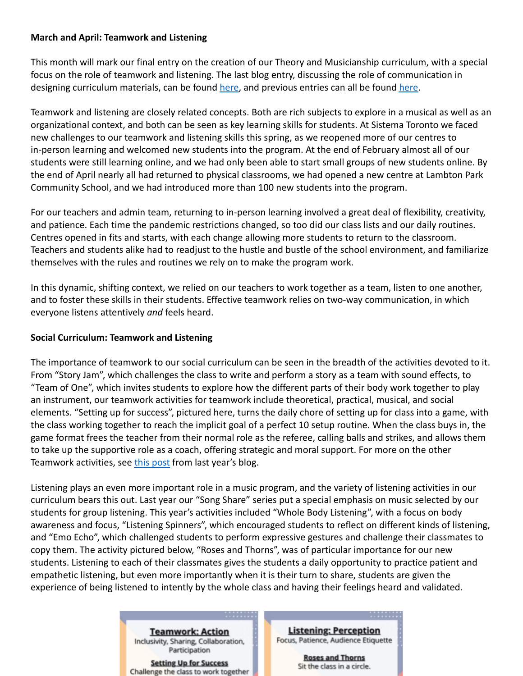# **March and April: Teamwork and Listening**

This month will mark our final entry on the creation of our Theory and Musicianship curriculum, with a special focus on the role of teamwork and listening. The last blog entry, discussing the role of communication in designing curriculum materials, can be found [here,](https://www.sistema-toronto.ca/sites/default/files/2021-2022%20Curriculum%20Blog%2003%20Communication%20and%20Dynamics%20Final%20Final.pdf) and previous entries can all be found [here.](https://www.sistema-toronto.ca/curriculum-blog)

Teamwork and listening are closely related concepts. Both are rich subjects to explore in a musical as well as an organizational context, and both can be seen as key learning skills for students. At Sistema Toronto we faced new challenges to our teamwork and listening skills this spring, as we reopened more of our centres to in-person learning and welcomed new students into the program. At the end of February almost all of our students were still learning online, and we had only been able to start small groups of new students online. By the end of April nearly all had returned to physical classrooms, we had opened a new centre at Lambton Park Community School, and we had introduced more than 100 new students into the program.

For our teachers and admin team, returning to in-person learning involved a great deal of flexibility, creativity, and patience. Each time the pandemic restrictions changed, so too did our class lists and our daily routines. Centres opened in fits and starts, with each change allowing more students to return to the classroom. Teachers and students alike had to readjust to the hustle and bustle of the school environment, and familiarize themselves with the rules and routines we rely on to make the program work.

In this dynamic, shifting context, we relied on our teachers to work together as a team, listen to one another, and to foster these skills in their students. Effective teamwork relies on two-way communication, in which everyone listens attentively *and* feels heard.

#### **Social Curriculum: Teamwork and Listening**

The importance of teamwork to our social curriculum can be seen in the breadth of the activities devoted to it. From "Story Jam", which challenges the class to write and perform a story as a team with sound effects, to "Team of One", which invites students to explore how the different parts of their body work together to play an instrument, our teamwork activities for teamwork include theoretical, practical, musical, and social elements. "Setting up for success", pictured here, turns the daily chore of setting up for class into a game, with the class working together to reach the implicit goal of a perfect 10 setup routine. When the class buys in, the game format frees the teacher from their normal role as the referee, calling balls and strikes, and allows them to take up the supportive role as a coach, offering strategic and moral support. For more on the other Teamwork activities, see [this post](https://www.sistema-toronto.ca/sites/default/files/2020-2021%20Social%20Curriculum%20Blog%209%20-%20Teamwork%20(formatted).pdf) from last year's blog.

Listening plays an even more important role in a music program, and the variety of listening activities in our curriculum bears this out. Last year our "Song Share" series put a special emphasis on music selected by our students for group listening. This year's activities included "Whole Body Listening", with a focus on body awareness and focus, "Listening Spinners", which encouraged students to reflect on different kinds of listening, and "Emo Echo", which challenged students to perform expressive gestures and challenge their classmates to copy them. The activity pictured below, "Roses and Thorns", was of particular importance for our new students. Listening to each of their classmates gives the students a daily opportunity to practice patient and empathetic listening, but even more importantly when it is their turn to share, students are given the experience of being listened to intently by the whole class and having their feelings heard and validated.

> **Teamwork: Action** Inclusivity, Sharing, Collaboration, Participation

**Setting Up for Success** Challenge the class to work together

**Listening: Perception** Focus, Patience, Audience Etiquette

. . . . . . . .

**Roses and Thorns** Sit the class in a circle.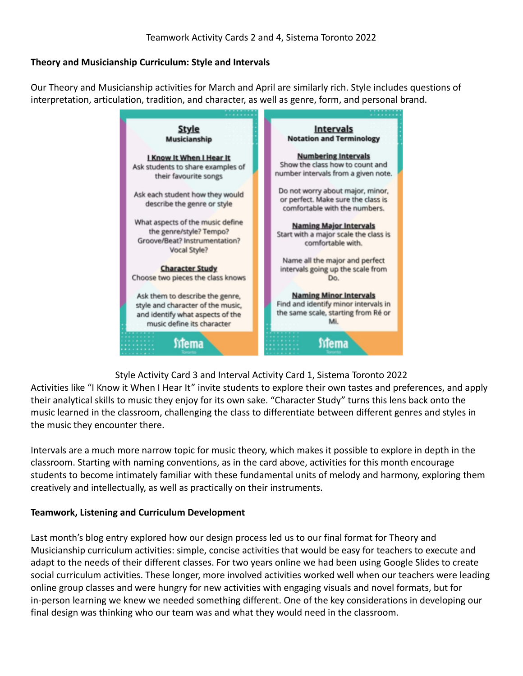# **Theory and Musicianship Curriculum: Style and Intervals**

Our Theory and Musicianship activities for March and April are similarly rich. Style includes questions of interpretation, articulation, tradition, and character, as well as genre, form, and personal brand.



Style Activity Card 3 and Interval Activity Card 1, Sistema Toronto 2022

Activities like "I Know it When I Hear It" invite students to explore their own tastes and preferences, and apply their analytical skills to music they enjoy for its own sake. "Character Study" turns this lens back onto the music learned in the classroom, challenging the class to differentiate between different genres and styles in the music they encounter there.

Intervals are a much more narrow topic for music theory, which makes it possible to explore in depth in the classroom. Starting with naming conventions, as in the card above, activities for this month encourage students to become intimately familiar with these fundamental units of melody and harmony, exploring them creatively and intellectually, as well as practically on their instruments.

#### **Teamwork, Listening and Curriculum Development**

Last month's blog entry explored how our design process led us to our final format for Theory and Musicianship curriculum activities: simple, concise activities that would be easy for teachers to execute and adapt to the needs of their different classes. For two years online we had been using Google Slides to create social curriculum activities. These longer, more involved activities worked well when our teachers were leading online group classes and were hungry for new activities with engaging visuals and novel formats, but for in-person learning we knew we needed something different. One of the key considerations in developing our final design was thinking who our team was and what they would need in the classroom.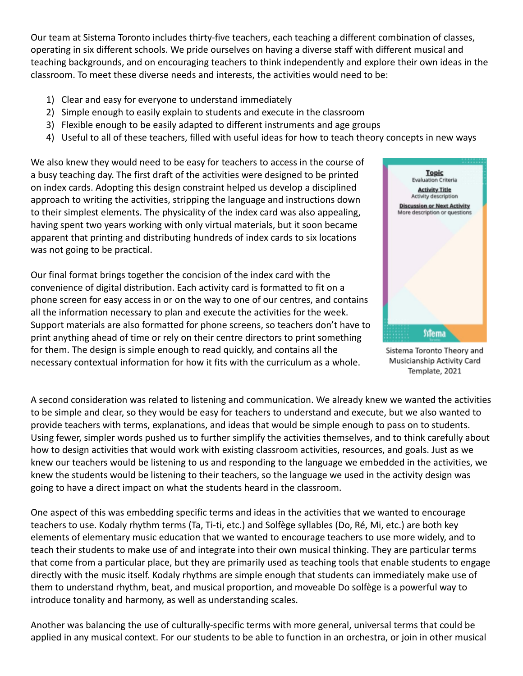Our team at Sistema Toronto includes thirty-five teachers, each teaching a different combination of classes, operating in six different schools. We pride ourselves on having a diverse staff with different musical and teaching backgrounds, and on encouraging teachers to think independently and explore their own ideas in the classroom. To meet these diverse needs and interests, the activities would need to be:

- 1) Clear and easy for everyone to understand immediately
- 2) Simple enough to easily explain to students and execute in the classroom
- 3) Flexible enough to be easily adapted to different instruments and age groups
- 4) Useful to all of these teachers, filled with useful ideas for how to teach theory concepts in new ways

We also knew they would need to be easy for teachers to access in the course of a busy teaching day. The first draft of the activities were designed to be printed on index cards. Adopting this design constraint helped us develop a disciplined approach to writing the activities, stripping the language and instructions down to their simplest elements. The physicality of the index card was also appealing, having spent two years working with only virtual materials, but it soon became apparent that printing and distributing hundreds of index cards to six locations was not going to be practical.

Our final format brings together the concision of the index card with the convenience of digital distribution. Each activity card is formatted to fit on a phone screen for easy access in or on the way to one of our centres, and contains all the information necessary to plan and execute the activities for the week. Support materials are also formatted for phone screens, so teachers don't have to print anything ahead of time or rely on their centre directors to print something for them. The design is simple enough to read quickly, and contains all the necessary contextual information for how it fits with the curriculum as a whole.



Sistema Toronto Theory and Musicianship Activity Card Template, 2021

A second consideration was related to listening and communication. We already knew we wanted the activities to be simple and clear, so they would be easy for teachers to understand and execute, but we also wanted to provide teachers with terms, explanations, and ideas that would be simple enough to pass on to students. Using fewer, simpler words pushed us to further simplify the activities themselves, and to think carefully about how to design activities that would work with existing classroom activities, resources, and goals. Just as we knew our teachers would be listening to us and responding to the language we embedded in the activities, we knew the students would be listening to their teachers, so the language we used in the activity design was going to have a direct impact on what the students heard in the classroom.

One aspect of this was embedding specific terms and ideas in the activities that we wanted to encourage teachers to use. Kodaly rhythm terms (Ta, Ti-ti, etc.) and Solfège syllables (Do, Ré, Mi, etc.) are both key elements of elementary music education that we wanted to encourage teachers to use more widely, and to teach their students to make use of and integrate into their own musical thinking. They are particular terms that come from a particular place, but they are primarily used as teaching tools that enable students to engage directly with the music itself. Kodaly rhythms are simple enough that students can immediately make use of them to understand rhythm, beat, and musical proportion, and moveable Do solfège is a powerful way to introduce tonality and harmony, as well as understanding scales.

Another was balancing the use of culturally-specific terms with more general, universal terms that could be applied in any musical context. For our students to be able to function in an orchestra, or join in other musical